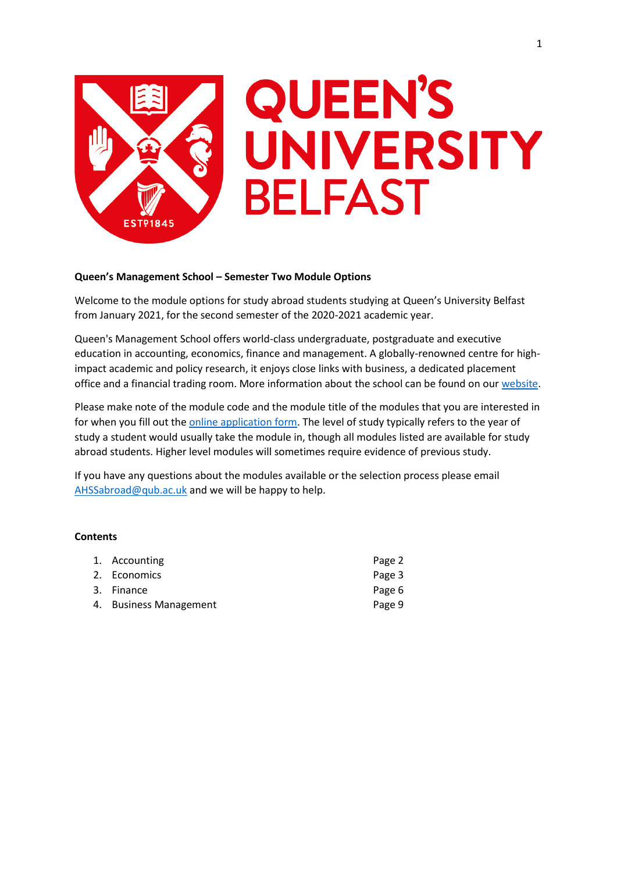

# **QUEEN'S** UNIVERSITY **BELFAST**

# **Queen's Management School – Semester Two Module Options**

Welcome to the module options for study abroad students studying at Queen's University Belfast from January 2021, for the second semester of the 2020-2021 academic year.

Queen's Management School offers world-class undergraduate, postgraduate and executive education in accounting, economics, finance and management. A globally-renowned centre for highimpact academic and policy research, it enjoys close links with business, a dedicated placement office and a financial trading room. More information about the school can be found on our [website.](https://www.qub.ac.uk/mgt/)

Please make note of the module code and the module title of the modules that you are interested in for when you fill out th[e online application form.](https://forms.office.com/Pages/ResponsePage.aspx?id=6ner6qW040mh6NbdI6HyhuNo6y7MZmlFqRFBsQuklldUMk9NNlVPQUxQSFpJQ0I4VzFVNVhFMzNQRyQlQCN0PWcu) The level of study typically refers to the year of study a student would usually take the module in, though all modules listed are available for study abroad students. Higher level modules will sometimes require evidence of previous study.

If you have any questions about the modules available or the selection process please email [AHSSabroad@qub.ac.uk](mailto:AHSSabroad@qub.ac.uk) and we will be happy to help.

## **Contents**

| 1. Accounting          | Page 2 |
|------------------------|--------|
| 2. Economics           | Page 3 |
| 3. Finance             | Page 6 |
| 4. Business Management | Page 9 |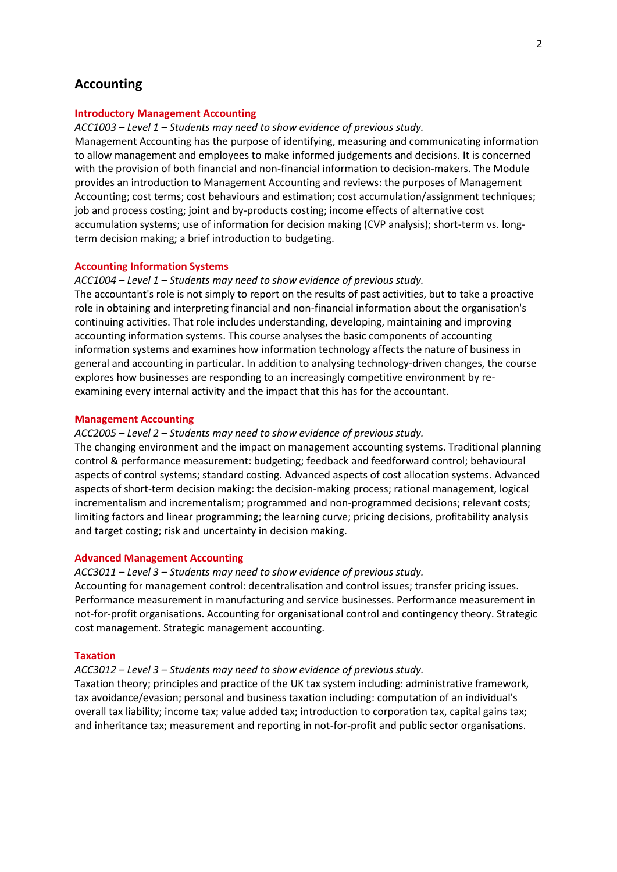# **Accounting**

## **Introductory Management Accounting**

### *ACC1003 – Level 1 – Students may need to show evidence of previous study.*

Management Accounting has the purpose of identifying, measuring and communicating information to allow management and employees to make informed judgements and decisions. It is concerned with the provision of both financial and non-financial information to decision-makers. The Module provides an introduction to Management Accounting and reviews: the purposes of Management Accounting; cost terms; cost behaviours and estimation; cost accumulation/assignment techniques; job and process costing; joint and by-products costing; income effects of alternative cost accumulation systems; use of information for decision making (CVP analysis); short-term vs. longterm decision making; a brief introduction to budgeting.

#### **Accounting Information Systems**

## *ACC1004 – Level 1 – Students may need to show evidence of previous study.*

The accountant's role is not simply to report on the results of past activities, but to take a proactive role in obtaining and interpreting financial and non-financial information about the organisation's continuing activities. That role includes understanding, developing, maintaining and improving accounting information systems. This course analyses the basic components of accounting information systems and examines how information technology affects the nature of business in general and accounting in particular. In addition to analysing technology-driven changes, the course explores how businesses are responding to an increasingly competitive environment by reexamining every internal activity and the impact that this has for the accountant.

#### **Management Accounting**

#### *ACC2005 – Level 2 – Students may need to show evidence of previous study.*

The changing environment and the impact on management accounting systems. Traditional planning control & performance measurement: budgeting; feedback and feedforward control; behavioural aspects of control systems; standard costing. Advanced aspects of cost allocation systems. Advanced aspects of short-term decision making: the decision-making process; rational management, logical incrementalism and incrementalism; programmed and non-programmed decisions; relevant costs; limiting factors and linear programming; the learning curve; pricing decisions, profitability analysis and target costing; risk and uncertainty in decision making.

## **Advanced Management Accounting**

## *ACC3011 – Level 3 – Students may need to show evidence of previous study.*

Accounting for management control: decentralisation and control issues; transfer pricing issues. Performance measurement in manufacturing and service businesses. Performance measurement in not-for-profit organisations. Accounting for organisational control and contingency theory. Strategic cost management. Strategic management accounting.

#### **Taxation**

#### *ACC3012 – Level 3 – Students may need to show evidence of previous study.*

Taxation theory; principles and practice of the UK tax system including: administrative framework, tax avoidance/evasion; personal and business taxation including: computation of an individual's overall tax liability; income tax; value added tax; introduction to corporation tax, capital gains tax; and inheritance tax; measurement and reporting in not-for-profit and public sector organisations.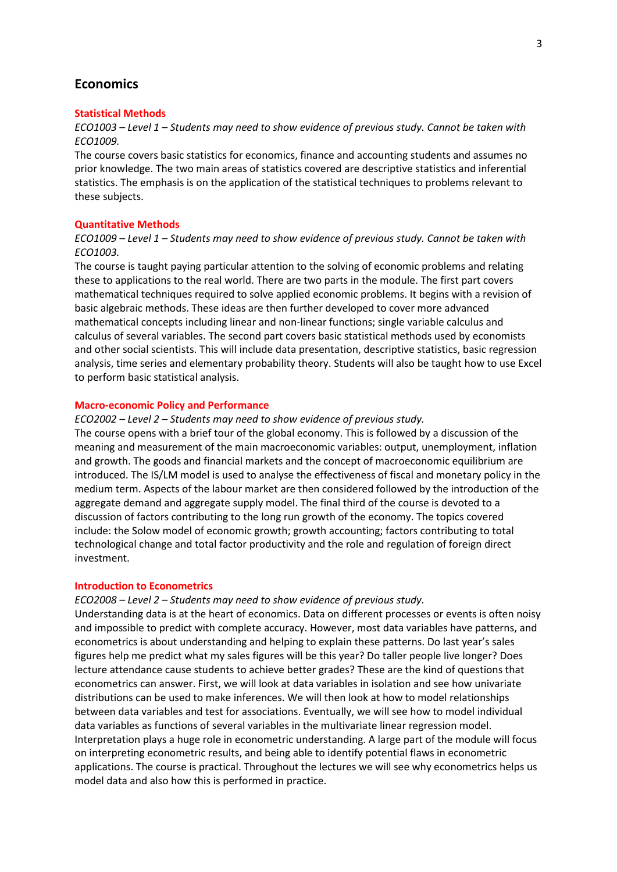# **Economics**

#### **Statistical Methods**

*ECO1003 – Level 1 – Students may need to show evidence of previous study. Cannot be taken with ECO1009.*

The course covers basic statistics for economics, finance and accounting students and assumes no prior knowledge. The two main areas of statistics covered are descriptive statistics and inferential statistics. The emphasis is on the application of the statistical techniques to problems relevant to these subjects.

## **Quantitative Methods**

# *ECO1009 – Level 1 – Students may need to show evidence of previous study. Cannot be taken with ECO1003.*

The course is taught paying particular attention to the solving of economic problems and relating these to applications to the real world. There are two parts in the module. The first part covers mathematical techniques required to solve applied economic problems. It begins with a revision of basic algebraic methods. These ideas are then further developed to cover more advanced mathematical concepts including linear and non-linear functions; single variable calculus and calculus of several variables. The second part covers basic statistical methods used by economists and other social scientists. This will include data presentation, descriptive statistics, basic regression analysis, time series and elementary probability theory. Students will also be taught how to use Excel to perform basic statistical analysis.

#### **Macro-economic Policy and Performance**

## *ECO2002 – Level 2 – Students may need to show evidence of previous study.*

The course opens with a brief tour of the global economy. This is followed by a discussion of the meaning and measurement of the main macroeconomic variables: output, unemployment, inflation and growth. The goods and financial markets and the concept of macroeconomic equilibrium are introduced. The IS/LM model is used to analyse the effectiveness of fiscal and monetary policy in the medium term. Aspects of the labour market are then considered followed by the introduction of the aggregate demand and aggregate supply model. The final third of the course is devoted to a discussion of factors contributing to the long run growth of the economy. The topics covered include: the Solow model of economic growth; growth accounting; factors contributing to total technological change and total factor productivity and the role and regulation of foreign direct investment.

#### **Introduction to Econometrics**

# *ECO2008 – Level 2 – Students may need to show evidence of previous study.*

Understanding data is at the heart of economics. Data on different processes or events is often noisy and impossible to predict with complete accuracy. However, most data variables have patterns, and econometrics is about understanding and helping to explain these patterns. Do last year's sales figures help me predict what my sales figures will be this year? Do taller people live longer? Does lecture attendance cause students to achieve better grades? These are the kind of questions that econometrics can answer. First, we will look at data variables in isolation and see how univariate distributions can be used to make inferences. We will then look at how to model relationships between data variables and test for associations. Eventually, we will see how to model individual data variables as functions of several variables in the multivariate linear regression model. Interpretation plays a huge role in econometric understanding. A large part of the module will focus on interpreting econometric results, and being able to identify potential flaws in econometric applications. The course is practical. Throughout the lectures we will see why econometrics helps us model data and also how this is performed in practice.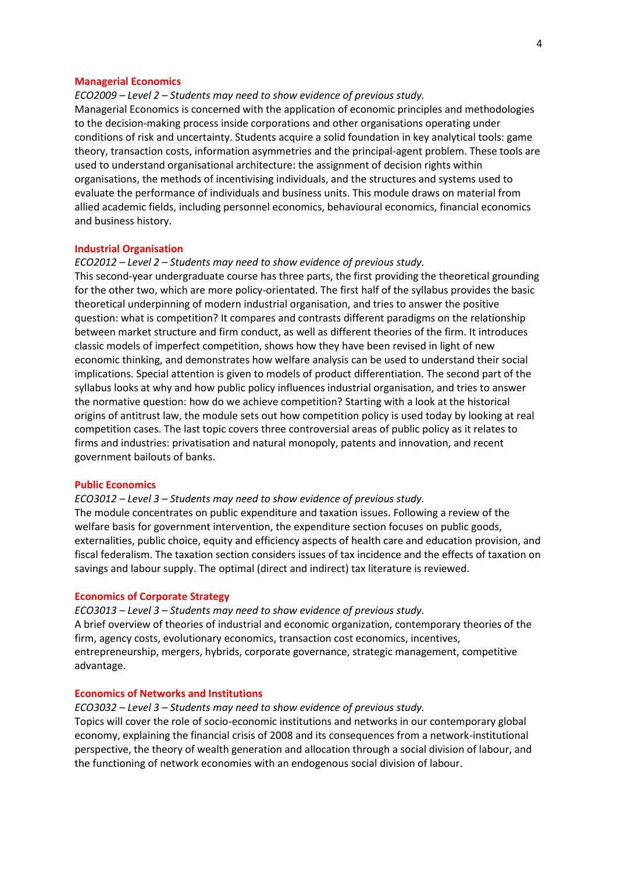#### **Managerial Economics**

*ECO2009 – Level 2 – Students may need to show evidence of previous study.* Managerial Economics is concerned with the application of economic principles and methodologies to the decision-making process inside corporations and other organisations operating under conditions of risk and uncertainty. Students acquire a solid foundation in key analytical tools: game theory, transaction costs, information asymmetries and the principal-agent problem. These tools are used to understand organisational architecture: the assignment of decision rights within organisations, the methods of incentivising individuals, and the structures and systems used to evaluate the performance of individuals and business units. This module draws on material from allied academic fields, including personnel economics, behavioural economics, financial economics and business history.

#### **Industrial Organisation**

#### *ECO2012 – Level 2 – Students may need to show evidence of previous study.*

This second-year undergraduate course has three parts, the first providing the theoretical grounding for the other two, which are more policy-orientated. The first half of the syllabus provides the basic theoretical underpinning of modern industrial organisation, and tries to answer the positive question: what is competition? It compares and contrasts different paradigms on the relationship between market structure and firm conduct, as well as different theories of the firm. It introduces classic models of imperfect competition, shows how they have been revised in light of new economic thinking, and demonstrates how welfare analysis can be used to understand their social implications. Special attention is given to models of product differentiation. The second part of the syllabus looks at why and how public policy influences industrial organisation, and tries to answer the normative question: how do we achieve competition? Starting with a look at the historical origins of antitrust law, the module sets out how competition policy is used today by looking at real competition cases. The last topic covers three controversial areas of public policy as it relates to firms and industries: privatisation and natural monopoly, patents and innovation, and recent government bailouts of banks.

#### **Public Economics**

#### *ECO3012 – Level 3 – Students may need to show evidence of previous study.*

The module concentrates on public expenditure and taxation issues. Following a review of the welfare basis for government intervention, the expenditure section focuses on public goods, externalities, public choice, equity and efficiency aspects of health care and education provision, and fiscal federalism. The taxation section considers issues of tax incidence and the effects of taxation on savings and labour supply. The optimal (direct and indirect) tax literature is reviewed.

# **Economics of Corporate Strategy**

*ECO3013 – Level 3 – Students may need to show evidence of previous study.*

A brief overview of theories of industrial and economic organization, contemporary theories of the firm, agency costs, evolutionary economics, transaction cost economics, incentives, entrepreneurship, mergers, hybrids, corporate governance, strategic management, competitive advantage.

#### **Economics of Networks and Institutions**

*ECO3032 – Level 3 – Students may need to show evidence of previous study.* Topics will cover the role of socio-economic institutions and networks in our contemporary global economy, explaining the financial crisis of 2008 and its consequences from a network-institutional perspective, the theory of wealth generation and allocation through a social division of labour, and the functioning of network economies with an endogenous social division of labour.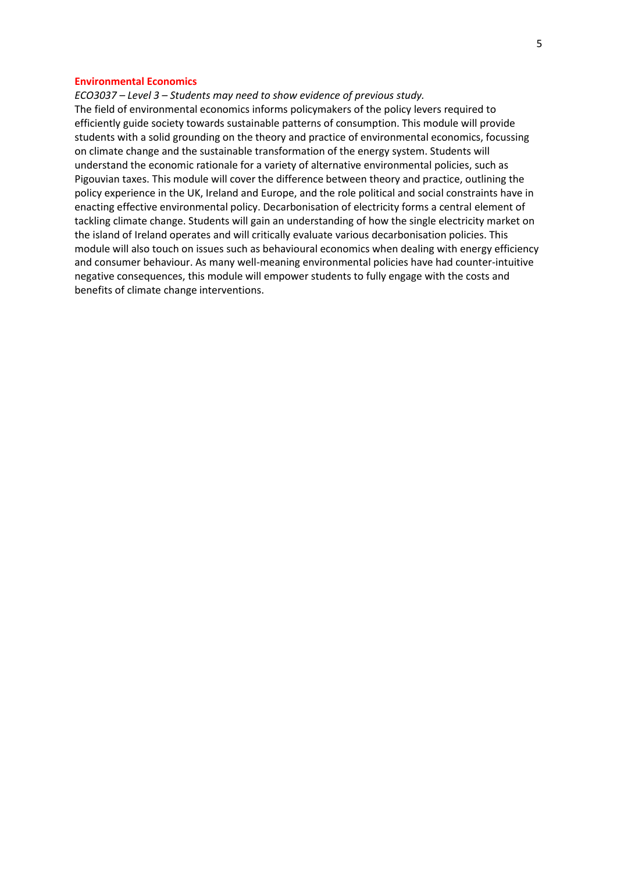## **Environmental Economics**

*ECO3037 – Level 3 – Students may need to show evidence of previous study.*

The field of environmental economics informs policymakers of the policy levers required to efficiently guide society towards sustainable patterns of consumption. This module will provide students with a solid grounding on the theory and practice of environmental economics, focussing on climate change and the sustainable transformation of the energy system. Students will understand the economic rationale for a variety of alternative environmental policies, such as Pigouvian taxes. This module will cover the difference between theory and practice, outlining the policy experience in the UK, Ireland and Europe, and the role political and social constraints have in enacting effective environmental policy. Decarbonisation of electricity forms a central element of tackling climate change. Students will gain an understanding of how the single electricity market on the island of Ireland operates and will critically evaluate various decarbonisation policies. This module will also touch on issues such as behavioural economics when dealing with energy efficiency and consumer behaviour. As many well-meaning environmental policies have had counter-intuitive negative consequences, this module will empower students to fully engage with the costs and benefits of climate change interventions.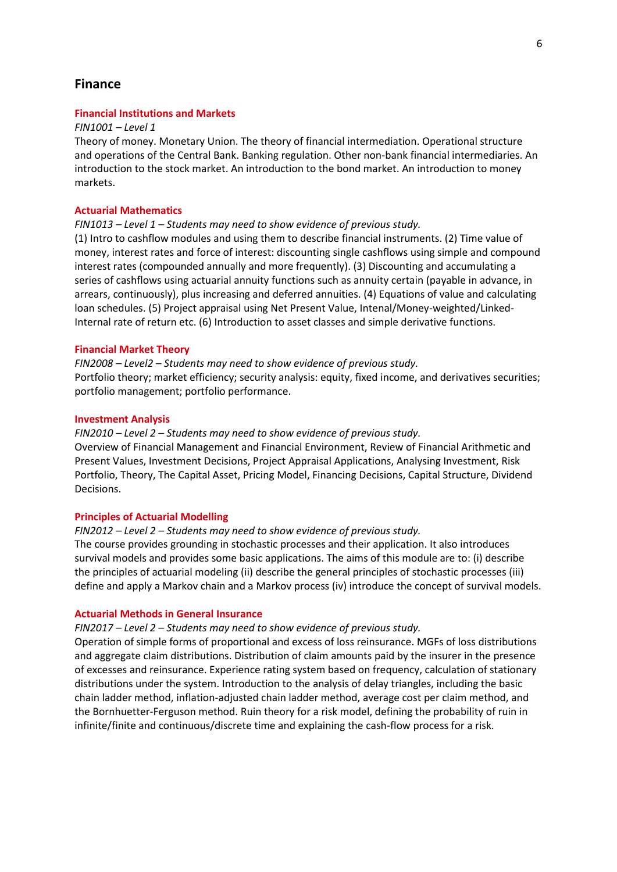# **Finance**

## **Financial Institutions and Markets**

#### *FIN1001 – Level 1*

Theory of money. Monetary Union. The theory of financial intermediation. Operational structure and operations of the Central Bank. Banking regulation. Other non-bank financial intermediaries. An introduction to the stock market. An introduction to the bond market. An introduction to money markets.

## **Actuarial Mathematics**

## *FIN1013 – Level 1 – Students may need to show evidence of previous study.*

(1) Intro to cashflow modules and using them to describe financial instruments. (2) Time value of money, interest rates and force of interest: discounting single cashflows using simple and compound interest rates (compounded annually and more frequently). (3) Discounting and accumulating a series of cashflows using actuarial annuity functions such as annuity certain (payable in advance, in arrears, continuously), plus increasing and deferred annuities. (4) Equations of value and calculating loan schedules. (5) Project appraisal using Net Present Value, Intenal/Money-weighted/Linked-Internal rate of return etc. (6) Introduction to asset classes and simple derivative functions.

#### **Financial Market Theory**

*FIN2008 – Level2 – Students may need to show evidence of previous study.* Portfolio theory; market efficiency; security analysis: equity, fixed income, and derivatives securities; portfolio management; portfolio performance.

#### **Investment Analysis**

*FIN2010 – Level 2 – Students may need to show evidence of previous study.* Overview of Financial Management and Financial Environment, Review of Financial Arithmetic and Present Values, Investment Decisions, Project Appraisal Applications, Analysing Investment, Risk Portfolio, Theory, The Capital Asset, Pricing Model, Financing Decisions, Capital Structure, Dividend Decisions.

#### **Principles of Actuarial Modelling**

## *FIN2012 – Level 2 – Students may need to show evidence of previous study.*

The course provides grounding in stochastic processes and their application. It also introduces survival models and provides some basic applications. The aims of this module are to: (i) describe the principles of actuarial modeling (ii) describe the general principles of stochastic processes (iii) define and apply a Markov chain and a Markov process (iv) introduce the concept of survival models.

## **Actuarial Methods in General Insurance**

#### *FIN2017 – Level 2 – Students may need to show evidence of previous study.*

Operation of simple forms of proportional and excess of loss reinsurance. MGFs of loss distributions and aggregate claim distributions. Distribution of claim amounts paid by the insurer in the presence of excesses and reinsurance. Experience rating system based on frequency, calculation of stationary distributions under the system. Introduction to the analysis of delay triangles, including the basic chain ladder method, inflation-adjusted chain ladder method, average cost per claim method, and the Bornhuetter-Ferguson method. Ruin theory for a risk model, defining the probability of ruin in infinite/finite and continuous/discrete time and explaining the cash-flow process for a risk.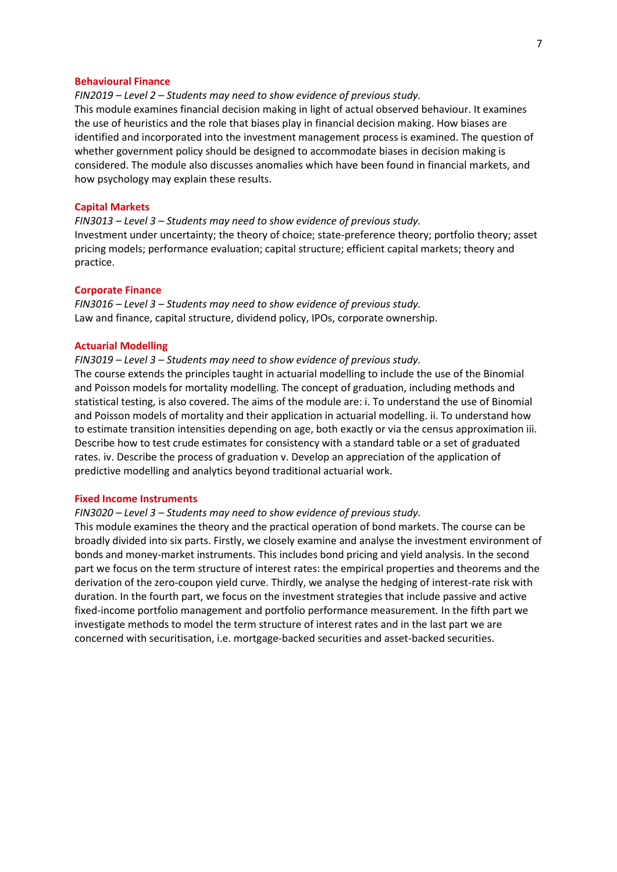### **Behavioural Finance**

*FIN2019 – Level 2 – Students may need to show evidence of previous study.*

This module examines financial decision making in light of actual observed behaviour. It examines the use of heuristics and the role that biases play in financial decision making. How biases are identified and incorporated into the investment management process is examined. The question of whether government policy should be designed to accommodate biases in decision making is considered. The module also discusses anomalies which have been found in financial markets, and how psychology may explain these results.

#### **Capital Markets**

*FIN3013 – Level 3 – Students may need to show evidence of previous study.* Investment under uncertainty; the theory of choice; state-preference theory; portfolio theory; asset pricing models; performance evaluation; capital structure; efficient capital markets; theory and practice.

## **Corporate Finance**

*FIN3016 – Level 3 – Students may need to show evidence of previous study.* Law and finance, capital structure, dividend policy, IPOs, corporate ownership.

## **Actuarial Modelling**

*FIN3019 – Level 3 – Students may need to show evidence of previous study.*

The course extends the principles taught in actuarial modelling to include the use of the Binomial and Poisson models for mortality modelling. The concept of graduation, including methods and statistical testing, is also covered. The aims of the module are: i. To understand the use of Binomial and Poisson models of mortality and their application in actuarial modelling. ii. To understand how to estimate transition intensities depending on age, both exactly or via the census approximation iii. Describe how to test crude estimates for consistency with a standard table or a set of graduated rates. iv. Describe the process of graduation v. Develop an appreciation of the application of predictive modelling and analytics beyond traditional actuarial work.

# **Fixed Income Instruments**

## *FIN3020 – Level 3 – Students may need to show evidence of previous study.*

This module examines the theory and the practical operation of bond markets. The course can be broadly divided into six parts. Firstly, we closely examine and analyse the investment environment of bonds and money-market instruments. This includes bond pricing and yield analysis. In the second part we focus on the term structure of interest rates: the empirical properties and theorems and the derivation of the zero-coupon yield curve. Thirdly, we analyse the hedging of interest-rate risk with duration. In the fourth part, we focus on the investment strategies that include passive and active fixed-income portfolio management and portfolio performance measurement. In the fifth part we investigate methods to model the term structure of interest rates and in the last part we are concerned with securitisation, i.e. mortgage-backed securities and asset-backed securities.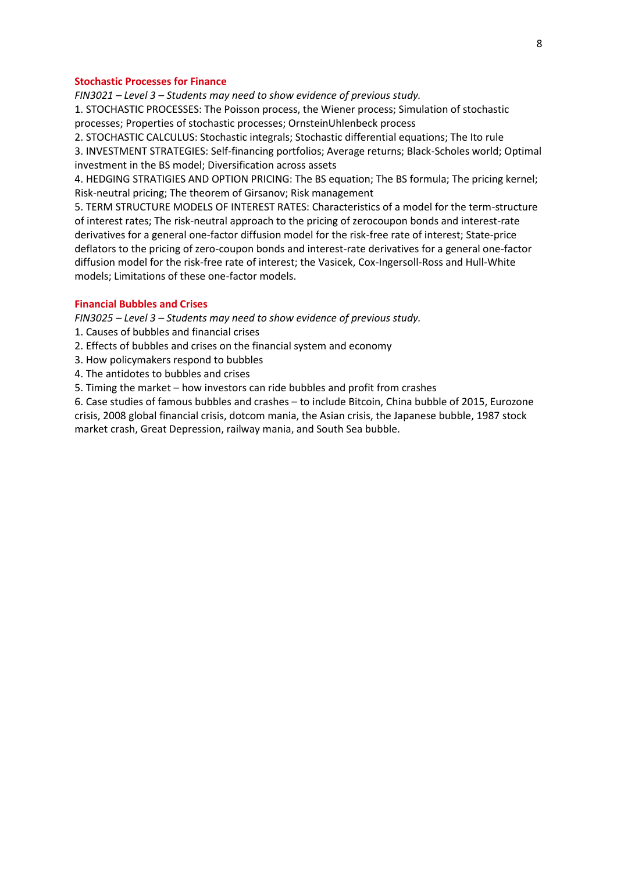## **Stochastic Processes for Finance**

*FIN3021 – Level 3 – Students may need to show evidence of previous study.* 1. STOCHASTIC PROCESSES: The Poisson process, the Wiener process; Simulation of stochastic processes; Properties of stochastic processes; OrnsteinUhlenbeck process

2. STOCHASTIC CALCULUS: Stochastic integrals; Stochastic differential equations; The Ito rule

3. INVESTMENT STRATEGIES: Self-financing portfolios; Average returns; Black-Scholes world; Optimal investment in the BS model; Diversification across assets

4. HEDGING STRATIGIES AND OPTION PRICING: The BS equation; The BS formula; The pricing kernel; Risk-neutral pricing; The theorem of Girsanov; Risk management

5. TERM STRUCTURE MODELS OF INTEREST RATES: Characteristics of a model for the term-structure of interest rates; The risk-neutral approach to the pricing of zerocoupon bonds and interest-rate derivatives for a general one-factor diffusion model for the risk-free rate of interest; State-price deflators to the pricing of zero-coupon bonds and interest-rate derivatives for a general one-factor diffusion model for the risk-free rate of interest; the Vasicek, Cox-Ingersoll-Ross and Hull-White models; Limitations of these one-factor models.

## **Financial Bubbles and Crises**

*FIN3025 – Level 3 – Students may need to show evidence of previous study.*

- 1. Causes of bubbles and financial crises
- 2. Effects of bubbles and crises on the financial system and economy
- 3. How policymakers respond to bubbles
- 4. The antidotes to bubbles and crises
- 5. Timing the market how investors can ride bubbles and profit from crashes

6. Case studies of famous bubbles and crashes – to include Bitcoin, China bubble of 2015, Eurozone crisis, 2008 global financial crisis, dotcom mania, the Asian crisis, the Japanese bubble, 1987 stock market crash, Great Depression, railway mania, and South Sea bubble.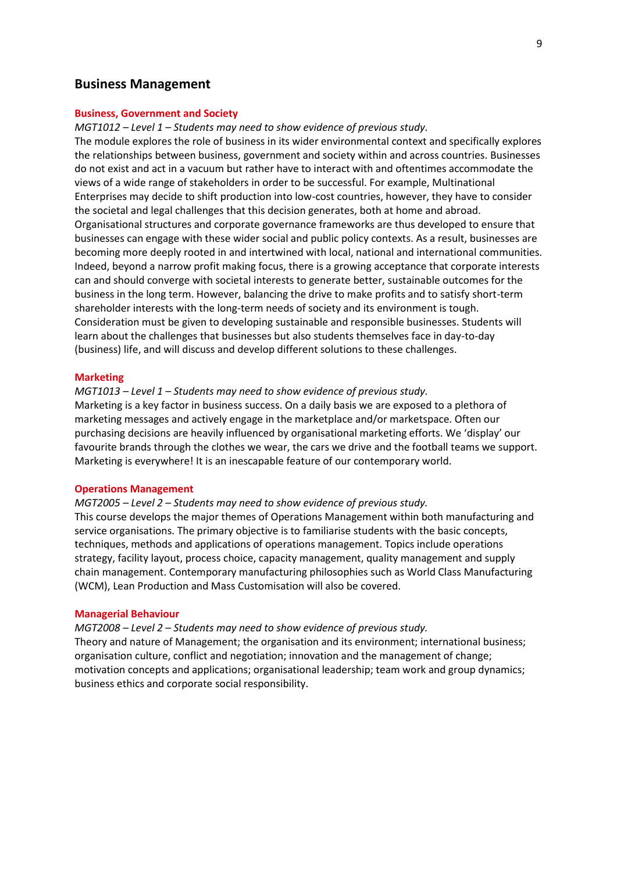# **Business Management**

## **Business, Government and Society**

*MGT1012 – Level 1 – Students may need to show evidence of previous study.*

The module explores the role of business in its wider environmental context and specifically explores the relationships between business, government and society within and across countries. Businesses do not exist and act in a vacuum but rather have to interact with and oftentimes accommodate the views of a wide range of stakeholders in order to be successful. For example, Multinational Enterprises may decide to shift production into low-cost countries, however, they have to consider the societal and legal challenges that this decision generates, both at home and abroad. Organisational structures and corporate governance frameworks are thus developed to ensure that businesses can engage with these wider social and public policy contexts. As a result, businesses are becoming more deeply rooted in and intertwined with local, national and international communities. Indeed, beyond a narrow profit making focus, there is a growing acceptance that corporate interests can and should converge with societal interests to generate better, sustainable outcomes for the business in the long term. However, balancing the drive to make profits and to satisfy short-term shareholder interests with the long-term needs of society and its environment is tough. Consideration must be given to developing sustainable and responsible businesses. Students will learn about the challenges that businesses but also students themselves face in day-to-day (business) life, and will discuss and develop different solutions to these challenges.

### **Marketing**

## *MGT1013 – Level 1 – Students may need to show evidence of previous study.*

Marketing is a key factor in business success. On a daily basis we are exposed to a plethora of marketing messages and actively engage in the marketplace and/or marketspace. Often our purchasing decisions are heavily influenced by organisational marketing efforts. We 'display' our favourite brands through the clothes we wear, the cars we drive and the football teams we support. Marketing is everywhere! It is an inescapable feature of our contemporary world.

#### **Operations Management**

## *MGT2005 – Level 2 – Students may need to show evidence of previous study.*

This course develops the major themes of Operations Management within both manufacturing and service organisations. The primary objective is to familiarise students with the basic concepts, techniques, methods and applications of operations management. Topics include operations strategy, facility layout, process choice, capacity management, quality management and supply chain management. Contemporary manufacturing philosophies such as World Class Manufacturing (WCM), Lean Production and Mass Customisation will also be covered.

#### **Managerial Behaviour**

*MGT2008 – Level 2 – Students may need to show evidence of previous study.*

Theory and nature of Management; the organisation and its environment; international business; organisation culture, conflict and negotiation; innovation and the management of change; motivation concepts and applications; organisational leadership; team work and group dynamics; business ethics and corporate social responsibility.